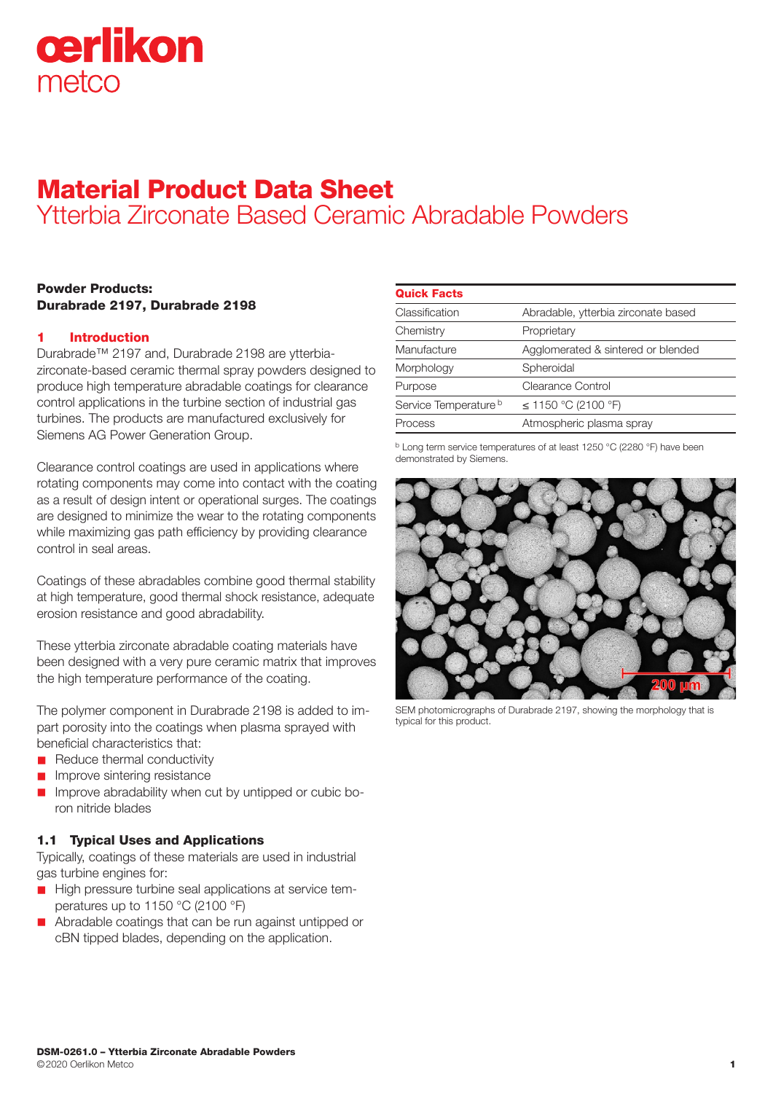

# Material Product Data Sheet Ytterbia Zirconate Based Ceramic Abradable Powders

## Powder Products: Durabrade 2197, Durabrade 2198

## 1 Introduction

Durabrade™ 2197 and, Durabrade 2198 are ytterbiazirconate-based ceramic thermal spray powders designed to produce high temperature abradable coatings for clearance control applications in the turbine section of industrial gas turbines. The products are manufactured exclusively for Siemens AG Power Generation Group.

Clearance control coatings are used in applications where rotating components may come into contact with the coating as a result of design intent or operational surges. The coatings are designed to minimize the wear to the rotating components while maximizing gas path efficiency by providing clearance control in seal areas.

Coatings of these abradables combine good thermal stability at high temperature, good thermal shock resistance, adequate erosion resistance and good abradability.

These ytterbia zirconate abradable coating materials have been designed with a very pure ceramic matrix that improves the high temperature performance of the coating.

The polymer component in Durabrade 2198 is added to impart porosity into the coatings when plasma sprayed with beneficial characteristics that:

- Reduce thermal conductivity
- n Improve sintering resistance
- n Improve abradability when cut by untipped or cubic boron nitride blades

## 1.1 Typical Uses and Applications

Typically, coatings of these materials are used in industrial gas turbine engines for:

- $\blacksquare$  High pressure turbine seal applications at service temperatures up to 1150 °C (2100 °F)
- **n** Abradable coatings that can be run against untipped or cBN tipped blades, depending on the application.

| <b>Quick Facts</b>               |                                     |
|----------------------------------|-------------------------------------|
| Classification                   | Abradable, ytterbia zirconate based |
| Chemistry                        | Proprietary                         |
| Manufacture                      | Agglomerated & sintered or blended  |
| Morphology                       | Spheroidal                          |
| Purpose                          | Clearance Control                   |
| Service Temperature <sup>b</sup> | ≤ 1150 °C (2100 °F)                 |
| Process                          | Atmospheric plasma spray            |
|                                  |                                     |

b Long term service temperatures of at least 1250 °C (2280 °F) have been demonstrated by Siemens.



SEM photomicrographs of Durabrade 2197, showing the morphology that is typical for this product.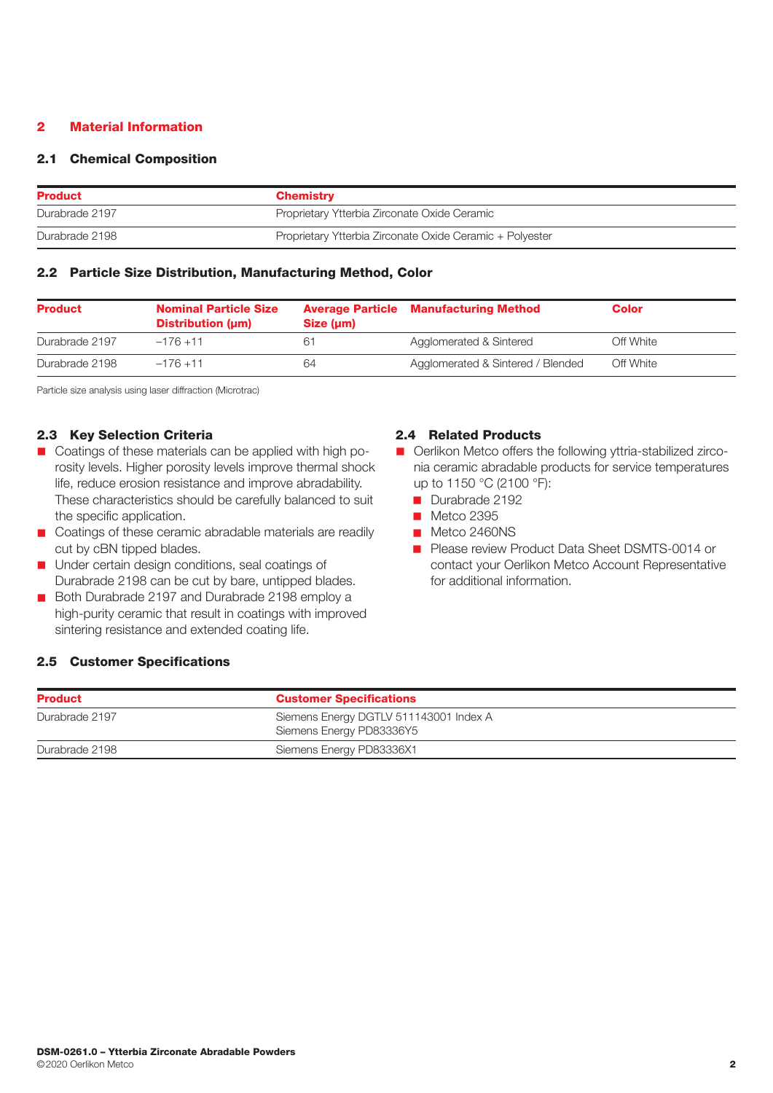## 2 Material Information

## 2.1 Chemical Composition

| <b>Product</b> | <b>Chemistry</b>                                         |  |
|----------------|----------------------------------------------------------|--|
| Durabrade 2197 | Proprietary Ytterbia Zirconate Oxide Ceramic             |  |
| Durabrade 2198 | Proprietary Ytterbia Zirconate Oxide Ceramic + Polyester |  |

## 2.2 Particle Size Distribution, Manufacturing Method, Color

| <b>Product</b> | <b>Nominal Particle Size</b><br>Distribution (µm) | Size (um) | <b>Average Particle Manufacturing Method</b> | Color     |
|----------------|---------------------------------------------------|-----------|----------------------------------------------|-----------|
| Durabrade 2197 | $-176 + 11$                                       | 61        | Agglomerated & Sintered                      | Off White |
| Durabrade 2198 | $-176 + 11$                                       | 64        | Agglomerated & Sintered / Blended            | Off White |

Particle size analysis using laser diffraction (Microtrac)

# 2.3 Key Selection Criteria

- Coatings of these materials can be applied with high porosity levels. Higher porosity levels improve thermal shock life, reduce erosion resistance and improve abradability. These characteristics should be carefully balanced to suit the specific application.
- Coatings of these ceramic abradable materials are readily cut by cBN tipped blades.
- **n** Under certain design conditions, seal coatings of Durabrade 2198 can be cut by bare, untipped blades.
- Both Durabrade 2197 and Durabrade 2198 employ a high-purity ceramic that result in coatings with improved sintering resistance and extended coating life.

## 2.4 Related Products

- Oerlikon Metco offers the following vttria-stabilized zirconia ceramic abradable products for service temperatures up to 1150 °C (2100 °F):
	- Durabrade 2192
	- **n** Metco 2395
	- Metco 2460NS
	- **n** Please review Product Data Sheet DSMTS-0014 or contact your Oerlikon Metco Account Representative for additional information.

# 2.5 Customer Specifications

| <b>Product</b>                                                                       | <b>Customer Specifications</b> |
|--------------------------------------------------------------------------------------|--------------------------------|
| Siemens Energy DGTLV 511143001 Index A<br>Durabrade 2197<br>Siemens Energy PD83336Y5 |                                |
| Siemens Energy PD83336X1<br>Durabrade 2198                                           |                                |